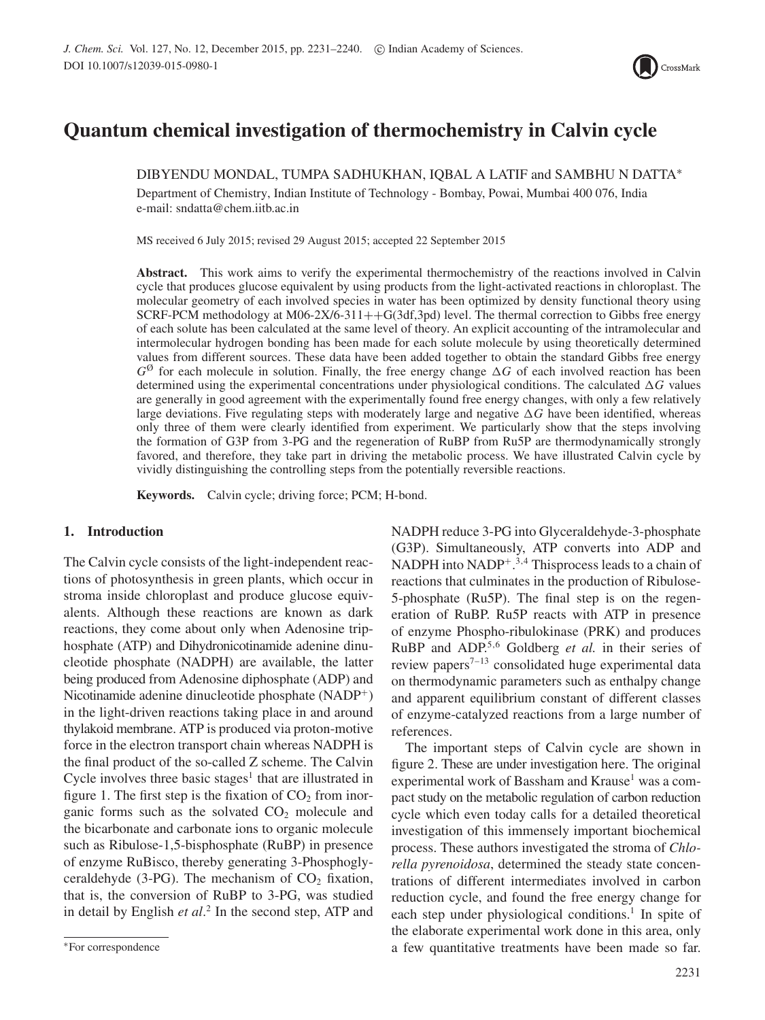

# **Quantum chemical investigation of thermochemistry in Calvin cycle**

DIBYENDU MONDAL, TUMPA SADHUKHAN, IQBAL A LATIF and SAMBHU N DATTA∗

Department of Chemistry, Indian Institute of Technology - Bombay, Powai, Mumbai 400 076, India e-mail: sndatta@chem.iitb.ac.in

MS received 6 July 2015; revised 29 August 2015; accepted 22 September 2015

**Abstract.** This work aims to verify the experimental thermochemistry of the reactions involved in Calvin cycle that produces glucose equivalent by using products from the light-activated reactions in chloroplast. The molecular geometry of each involved species in water has been optimized by density functional theory using SCRF-PCM methodology at M06-2X/6-311++G(3df,3pd) level. The thermal correction to Gibbs free energy of each solute has been calculated at the same level of theory. An explicit accounting of the intramolecular and intermolecular hydrogen bonding has been made for each solute molecule by using theoretically determined values from different sources. These data have been added together to obtain the standard Gibbs free energy  $G^{\emptyset}$  for each molecule in solution. Finally, the free energy change  $\Delta G$  of each involved reaction has been determined using the experimental concentrations under physiological conditions. The calculated  $\Delta G$  values are generally in good agreement with the experimentally found free energy changes, with only a few relatively large deviations. Five regulating steps with moderately large and negative  $\Delta G$  have been identified, whereas only three of them were clearly identified from experiment. We particularly show that the steps involving the formation of G3P from 3-PG and the regeneration of RuBP from Ru5P are thermodynamically strongly favored, and therefore, they take part in driving the metabolic process. We have illustrated Calvin cycle by vividly distinguishing the controlling steps from the potentially reversible reactions.

**Keywords.** Calvin cycle; driving force; PCM; H-bond.

# **1. Introduction**

The Calvin cycle consists of the light-independent reactions of photosynthesis in green plants, which occur in stroma inside chloroplast and produce glucose equivalents. Although these reactions are known as dark reactions, they come about only when Adenosine triphosphate (ATP) and Dihydronicotinamide adenine dinucleotide phosphate (NADPH) are available, the latter being produced from Adenosine diphosphate (ADP) and Nicotinamide adenine dinucleotide phosphate  $(NADP<sup>+</sup>)$ in the light-driven reactions taking place in and around thylakoid membrane. ATP is produced via proton-motive force in the electron transport chain whereas NADPH is the final product of the so-called Z scheme. The Calvin Cycle involves three basic stages<sup>1</sup> that are illustrated in figure 1. The first step is the fixation of  $CO<sub>2</sub>$  from inorganic forms such as the solvated  $CO<sub>2</sub>$  molecule and the bicarbonate and carbonate ions to organic molecule such as Ribulose-1,5-bisphosphate (RuBP) in presence of enzyme RuBisco, thereby generating 3-Phosphoglyceraldehyde (3-PG). The mechanism of  $CO<sub>2</sub>$  fixation, that is, the conversion of RuBP to 3-PG, was studied in detail by English *et al*. <sup>2</sup> In the second step, ATP and

NADPH reduce 3-PG into Glyceraldehyde-3-phosphate (G3P). Simultaneously, ATP converts into ADP and NADPH into NADP<sup>+</sup>.<sup>3,4</sup> Thisprocess leads to a chain of reactions that culminates in the production of Ribulose-5-phosphate (Ru5P). The final step is on the regeneration of RuBP. Ru5P reacts with ATP in presence of enzyme Phospho-ribulokinase (PRK) and produces RuBP and ADP.5,6 Goldberg *et al.* in their series of review papers<sup> $7-13$ </sup> consolidated huge experimental data on thermodynamic parameters such as enthalpy change and apparent equilibrium constant of different classes of enzyme-catalyzed reactions from a large number of references.

The important steps of Calvin cycle are shown in figure 2. These are under investigation here. The original experimental work of Bassham and Krause<sup>1</sup> was a compact study on the metabolic regulation of carbon reduction cycle which even today calls for a detailed theoretical investigation of this immensely important biochemical process. These authors investigated the stroma of *Chlorella pyrenoidosa*, determined the steady state concentrations of different intermediates involved in carbon reduction cycle, and found the free energy change for each step under physiological conditions.<sup>1</sup> In spite of the elaborate experimental work done in this area, only a few quantitative treatments have been made so far.

<sup>∗</sup>For correspondence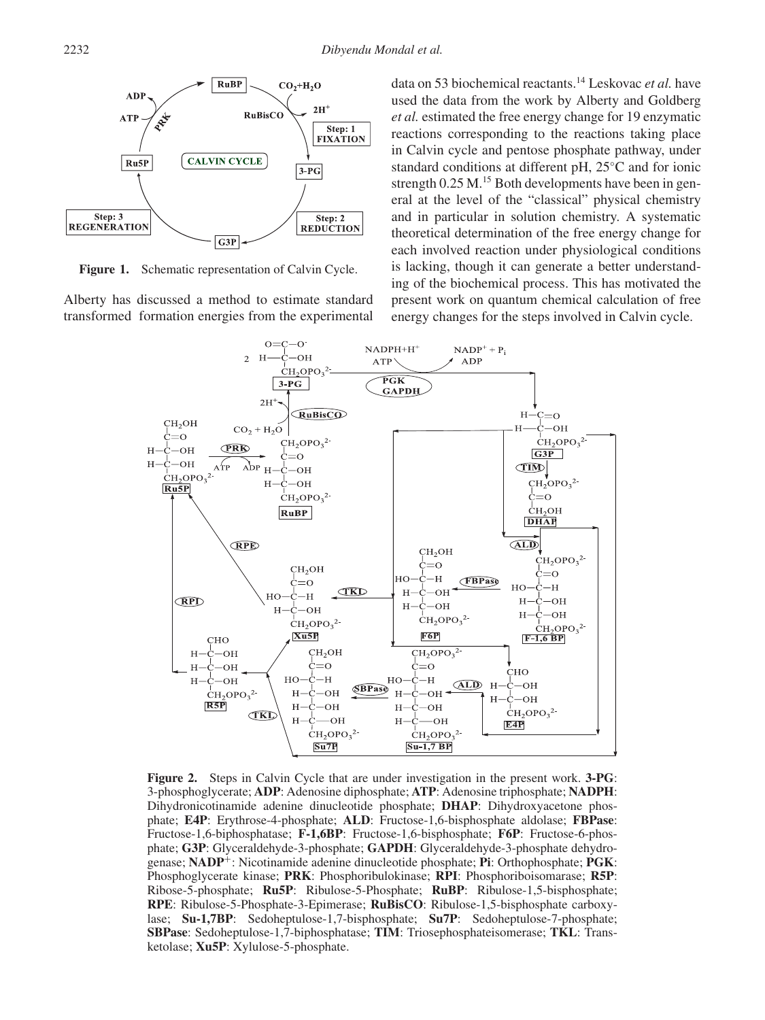

**Figure 1.** Schematic representation of Calvin Cycle.

Alberty has discussed a method to estimate standard transformed formation energies from the experimental data on 53 biochemical reactants.14 Leskovac *et al.* have used the data from the work by Alberty and Goldberg *et al.* estimated the free energy change for 19 enzymatic reactions corresponding to the reactions taking place in Calvin cycle and pentose phosphate pathway, under standard conditions at different pH, 25◦C and for ionic strength  $0.25$  M.<sup>15</sup> Both developments have been in general at the level of the "classical" physical chemistry and in particular in solution chemistry. A systematic theoretical determination of the free energy change for each involved reaction under physiological conditions is lacking, though it can generate a better understanding of the biochemical process. This has motivated the present work on quantum chemical calculation of free energy changes for the steps involved in Calvin cycle.



**Figure 2.** Steps in Calvin Cycle that are under investigation in the present work. **3-PG**: 3-phosphoglycerate; **ADP**: Adenosine diphosphate; **ATP**: Adenosine triphosphate; **NADPH**: Dihydronicotinamide adenine dinucleotide phosphate; **DHAP**: Dihydroxyacetone phosphate; **E4P**: Erythrose-4-phosphate; **ALD**: Fructose-1,6-bisphosphate aldolase; **FBPase**: Fructose-1,6-biphosphatase; **F-1,6BP**: Fructose-1,6-bisphosphate; **F6P**: Fructose-6-phosphate; **G3P**: Glyceraldehyde-3-phosphate; **GAPDH**: Glyceraldehyde-3-phosphate dehydrogenase; **NADP**+: Nicotinamide adenine dinucleotide phosphate; **Pi**: Orthophosphate; **PGK**: Phosphoglycerate kinase; **PRK**: Phosphoribulokinase; **RPI**: Phosphoriboisomarase; **R5P**: Ribose-5-phosphate; **Ru5P**: Ribulose-5-Phosphate; **RuBP**: Ribulose-1,5-bisphosphate; **RPE**: Ribulose-5-Phosphate-3-Epimerase; **RuBisCO**: Ribulose-1,5-bisphosphate carboxylase; **Su-1,7BP**: Sedoheptulose-1,7-bisphosphate; **Su7P**: Sedoheptulose-7-phosphate; **SBPase**: Sedoheptulose-1,7-biphosphatase; **TIM**: Triosephosphateisomerase; **TKL**: Transketolase; **Xu5P**: Xylulose-5-phosphate.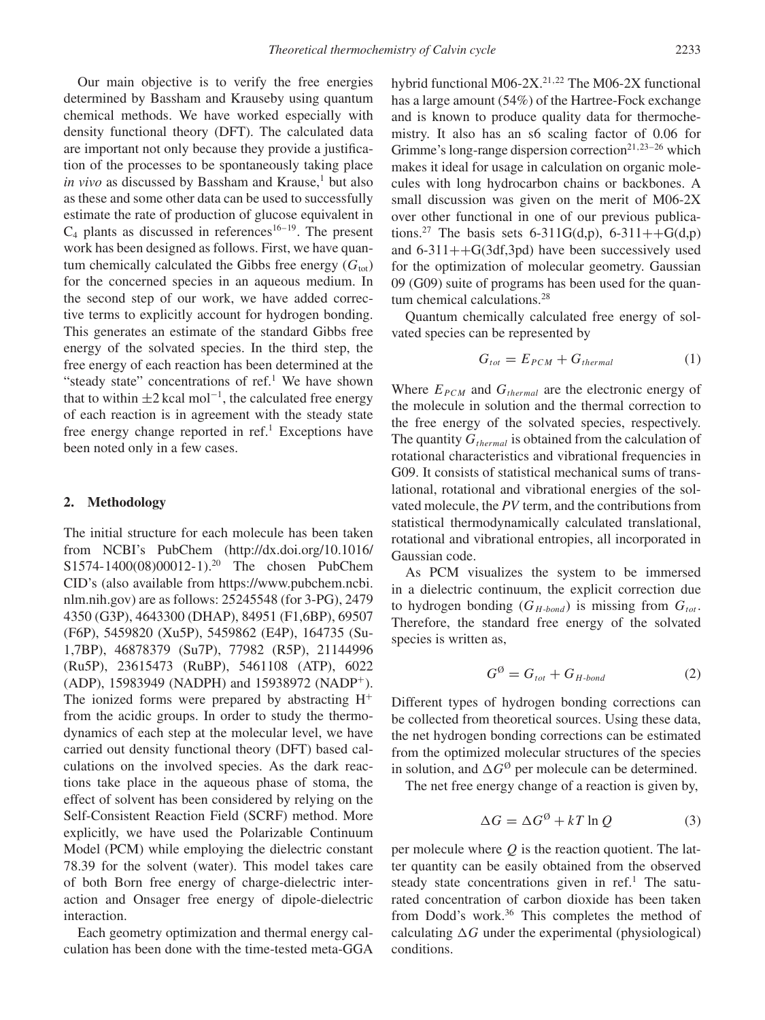Our main objective is to verify the free energies determined by Bassham and Krauseby using quantum chemical methods. We have worked especially with density functional theory (DFT). The calculated data are important not only because they provide a justification of the processes to be spontaneously taking place *in vivo* as discussed by Bassham and Krause,<sup>1</sup> but also as these and some other data can be used to successfully estimate the rate of production of glucose equivalent in  $C_4$  plants as discussed in references<sup>16–19</sup>. The present work has been designed as follows. First, we have quantum chemically calculated the Gibbs free energy  $(G<sub>tot</sub>)$ for the concerned species in an aqueous medium. In the second step of our work, we have added corrective terms to explicitly account for hydrogen bonding. This generates an estimate of the standard Gibbs free energy of the solvated species. In the third step, the free energy of each reaction has been determined at the "steady state" concentrations of  $ref.1$  We have shown that to within  $\pm 2$  kcal mol<sup>-1</sup>, the calculated free energy of each reaction is in agreement with the steady state free energy change reported in ref.<sup>1</sup> Exceptions have been noted only in a few cases.

#### **2. Methodology**

The initial structure for each molecule has been taken from NCBI's PubChem (http://dx.doi.org/10.1016/ S1574-1400(08)00012-1).20 The chosen PubChem CID's (also available from https://www.pubchem.ncbi. nlm.nih.gov) are as follows: 25245548 (for 3-PG), 2479 4350 (G3P), 4643300 (DHAP), 84951 (F1,6BP), 69507 (F6P), 5459820 (Xu5P), 5459862 (E4P), 164735 (Su-1,7BP), 46878379 (Su7P), 77982 (R5P), 21144996 (Ru5P), 23615473 (RuBP), 5461108 (ATP), 6022 (ADP), 15983949 (NADPH) and 15938972 (NADP+). The ionized forms were prepared by abstracting  $H^+$ from the acidic groups. In order to study the thermodynamics of each step at the molecular level, we have carried out density functional theory (DFT) based calculations on the involved species. As the dark reactions take place in the aqueous phase of stoma, the effect of solvent has been considered by relying on the Self-Consistent Reaction Field (SCRF) method. More explicitly, we have used the Polarizable Continuum Model (PCM) while employing the dielectric constant 78.39 for the solvent (water). This model takes care of both Born free energy of charge-dielectric interaction and Onsager free energy of dipole-dielectric interaction.

Each geometry optimization and thermal energy calculation has been done with the time-tested meta-GGA hybrid functional M06-2X.<sup>21,22</sup> The M06-2X functional has a large amount (54%) of the Hartree-Fock exchange and is known to produce quality data for thermochemistry. It also has an s6 scaling factor of 0.06 for Grimme's long-range dispersion correction<sup>21,23–26</sup> which makes it ideal for usage in calculation on organic molecules with long hydrocarbon chains or backbones. A small discussion was given on the merit of M06-2X over other functional in one of our previous publications.<sup>27</sup> The basis sets 6-311G(d,p), 6-311++G(d,p) and  $6-311++G(3df,3pd)$  have been successively used for the optimization of molecular geometry. Gaussian 09 (G09) suite of programs has been used for the quantum chemical calculations.<sup>28</sup>

Quantum chemically calculated free energy of solvated species can be represented by

$$
G_{tot} = E_{PCM} + G_{thermal} \tag{1}
$$

Where  $E_{PCM}$  and  $G_{thermal}$  are the electronic energy of the molecule in solution and the thermal correction to the free energy of the solvated species, respectively. The quantity  $G_{thermal}$  is obtained from the calculation of rotational characteristics and vibrational frequencies in G09. It consists of statistical mechanical sums of translational, rotational and vibrational energies of the solvated molecule, the *PV* term, and the contributions from statistical thermodynamically calculated translational, rotational and vibrational entropies, all incorporated in Gaussian code.

As PCM visualizes the system to be immersed in a dielectric continuum, the explicit correction due to hydrogen bonding  $(G_{H\textrm{-}bond})$  is missing from  $G_{tot}$ . Therefore, the standard free energy of the solvated species is written as,

$$
G^{\emptyset} = G_{tot} + G_{H\text{-bond}}
$$
 (2)

Different types of hydrogen bonding corrections can be collected from theoretical sources. Using these data, the net hydrogen bonding corrections can be estimated from the optimized molecular structures of the species in solution, and  $\Delta G^{\emptyset}$  per molecule can be determined.

The net free energy change of a reaction is given by,

$$
\Delta G = \Delta G^{\emptyset} + kT \ln Q \tag{3}
$$

per molecule where *Q* is the reaction quotient. The latter quantity can be easily obtained from the observed steady state concentrations given in  $ref<sup>1</sup>$ . The saturated concentration of carbon dioxide has been taken from Dodd's work.<sup>36</sup> This completes the method of calculating  $\Delta G$  under the experimental (physiological) conditions.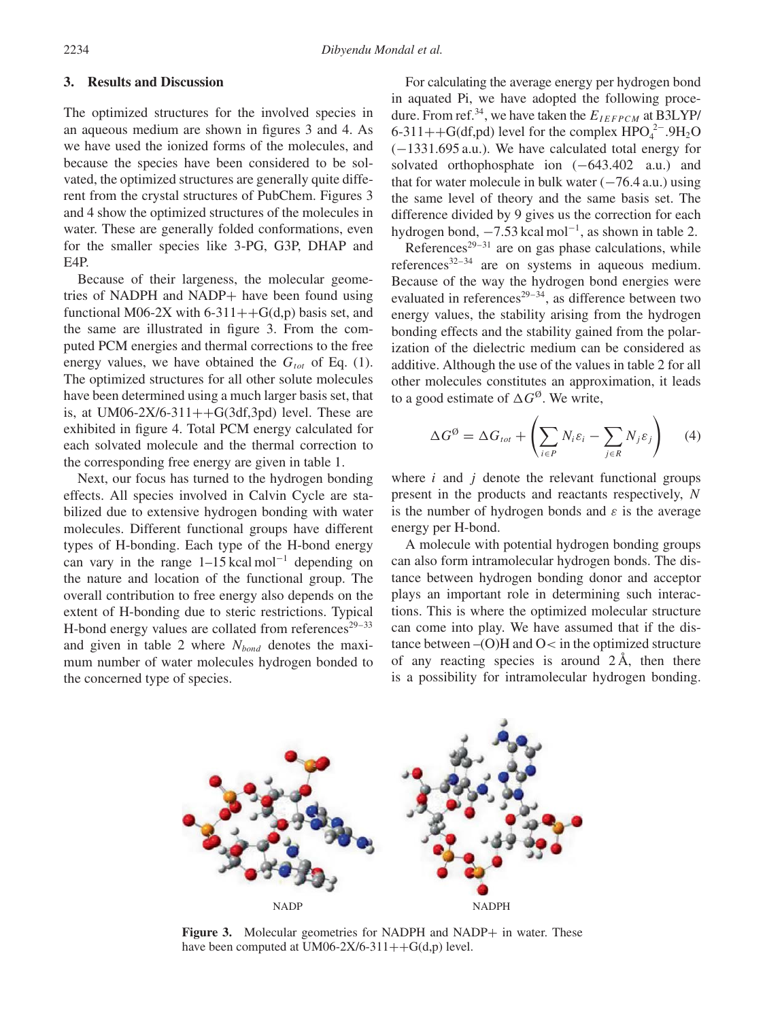# **3. Results and Discussion**

The optimized structures for the involved species in an aqueous medium are shown in figures 3 and 4. As we have used the ionized forms of the molecules, and because the species have been considered to be solvated, the optimized structures are generally quite different from the crystal structures of PubChem. Figures 3 and 4 show the optimized structures of the molecules in water. These are generally folded conformations, even for the smaller species like 3-PG, G3P, DHAP and E4P.

Because of their largeness, the molecular geometries of NADPH and NADP+ have been found using functional M06-2X with 6-311++ $G(d,p)$  basis set, and the same are illustrated in figure 3. From the computed PCM energies and thermal corrections to the free energy values, we have obtained the  $G_{tot}$  of Eq. (1). The optimized structures for all other solute molecules have been determined using a much larger basis set, that is, at UM06-2X/6-311++ $G(3df,3pd)$  level. These are exhibited in figure 4. Total PCM energy calculated for each solvated molecule and the thermal correction to the corresponding free energy are given in table 1.

Next, our focus has turned to the hydrogen bonding effects. All species involved in Calvin Cycle are stabilized due to extensive hydrogen bonding with water molecules. Different functional groups have different types of H-bonding. Each type of the H-bond energy can vary in the range  $1-15$  kcal mol<sup>-1</sup> depending on the nature and location of the functional group. The overall contribution to free energy also depends on the extent of H-bonding due to steric restrictions. Typical H-bond energy values are collated from references<sup>29–33</sup> and given in table 2 where  $N_{bond}$  denotes the maximum number of water molecules hydrogen bonded to the concerned type of species.

For calculating the average energy per hydrogen bond in aquated Pi, we have adopted the following procedure. From ref.<sup>34</sup>, we have taken the  $E_{IEFPCM}$  at B3LYP/ 6-311++G(df,pd) level for the complex  $HPO_4^{2-}.9H_2O$ (−1331.695 a.u.). We have calculated total energy for solvated orthophosphate ion  $(-643.402 \text{ a.u.})$  and that for water molecule in bulk water  $(-76.4 \text{ a.u.})$  using the same level of theory and the same basis set. The difference divided by 9 gives us the correction for each hydrogen bond,  $-7.53$  kcal mol<sup>-1</sup>, as shown in table 2.

References<sup>29–31</sup> are on gas phase calculations, while references $32-34$  are on systems in aqueous medium. Because of the way the hydrogen bond energies were evaluated in references<sup>29–34</sup>, as difference between two energy values, the stability arising from the hydrogen bonding effects and the stability gained from the polarization of the dielectric medium can be considered as additive. Although the use of the values in table 2 for all other molecules constitutes an approximation, it leads to a good estimate of  $\Delta G^{\emptyset}$ . We write,

$$
\Delta G^{\emptyset} = \Delta G_{tot} + \left(\sum_{i \in P} N_i \varepsilon_i - \sum_{j \in R} N_j \varepsilon_j\right) \tag{4}
$$

where *i* and *j* denote the relevant functional groups present in the products and reactants respectively, *N* is the number of hydrogen bonds and *ε* is the average energy per H-bond.

A molecule with potential hydrogen bonding groups can also form intramolecular hydrogen bonds. The distance between hydrogen bonding donor and acceptor plays an important role in determining such interactions. This is where the optimized molecular structure can come into play. We have assumed that if the distance between –(O)H and O*<* in the optimized structure of any reacting species is around  $2\text{\AA}$ , then there is a possibility for intramolecular hydrogen bonding.



Figure 3. Molecular geometries for NADPH and NADP+ in water. These have been computed at UM06-2X/6-311++ $G(d,p)$  level.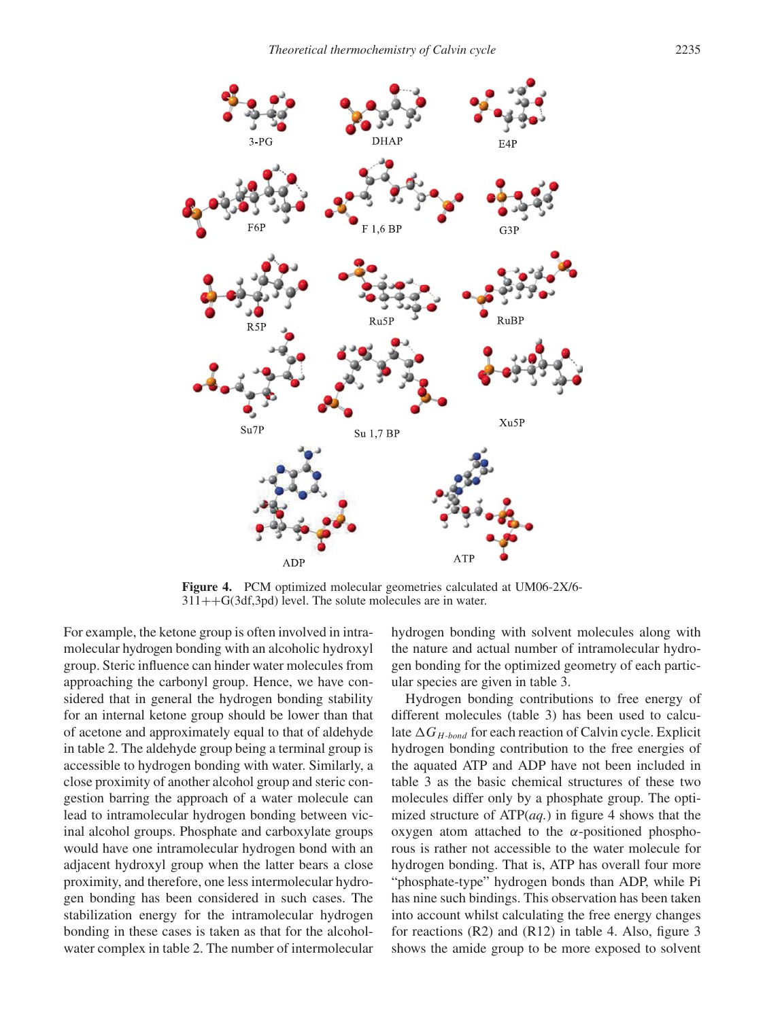

**Figure 4.** PCM optimized molecular geometries calculated at UM06-2X/6-  $311++G(3df,3pd)$  level. The solute molecules are in water.

For example, the ketone group is often involved in intramolecular hydrogen bonding with an alcoholic hydroxyl group. Steric influence can hinder water molecules from approaching the carbonyl group. Hence, we have considered that in general the hydrogen bonding stability for an internal ketone group should be lower than that of acetone and approximately equal to that of aldehyde in table 2. The aldehyde group being a terminal group is accessible to hydrogen bonding with water. Similarly, a close proximity of another alcohol group and steric congestion barring the approach of a water molecule can lead to intramolecular hydrogen bonding between vicinal alcohol groups. Phosphate and carboxylate groups would have one intramolecular hydrogen bond with an adjacent hydroxyl group when the latter bears a close proximity, and therefore, one less intermolecular hydrogen bonding has been considered in such cases. The stabilization energy for the intramolecular hydrogen bonding in these cases is taken as that for the alcoholwater complex in table 2. The number of intermolecular hydrogen bonding with solvent molecules along with the nature and actual number of intramolecular hydrogen bonding for the optimized geometry of each particular species are given in table 3.

Hydrogen bonding contributions to free energy of different molecules (table 3) has been used to calculate  $\Delta G_{H\textrm{-}bond}$  for each reaction of Calvin cycle. Explicit hydrogen bonding contribution to the free energies of the aquated ATP and ADP have not been included in table 3 as the basic chemical structures of these two molecules differ only by a phosphate group. The optimized structure of ATP(*aq.*) in figure 4 shows that the oxygen atom attached to the *α*-positioned phosphorous is rather not accessible to the water molecule for hydrogen bonding. That is, ATP has overall four more "phosphate-type" hydrogen bonds than ADP, while Pi has nine such bindings. This observation has been taken into account whilst calculating the free energy changes for reactions  $(R2)$  and  $(R12)$  in table 4. Also, figure 3 shows the amide group to be more exposed to solvent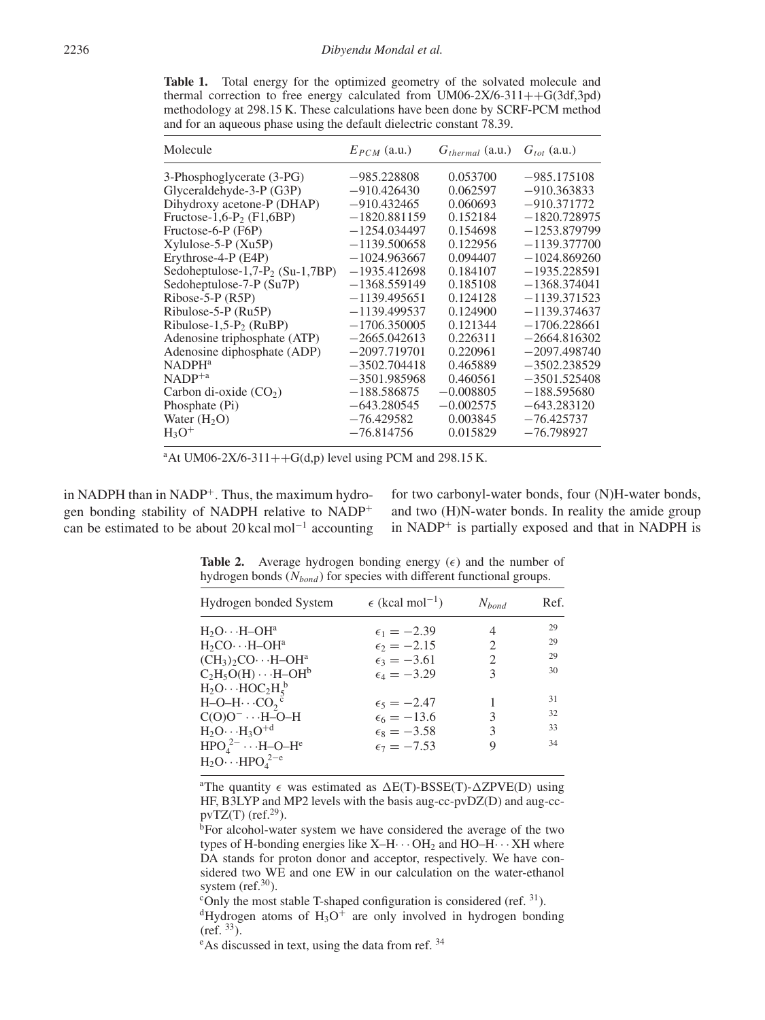**Table 1.** Total energy for the optimized geometry of the solvated molecule and thermal correction to free energy calculated from UM06-2X/6-311++G(3df,3pd) methodology at 298.15 K. These calculations have been done by SCRF-PCM method and for an aqueous phase using the default dielectric constant 78.39.

| Molecule                             | $E_{PCM}$ (a.u.) | $G_{thermal}$ (a.u.) $G_{tot}$ (a.u.) |                |
|--------------------------------------|------------------|---------------------------------------|----------------|
| 3-Phosphoglycerate (3-PG)            | $-985.228808$    | 0.053700                              | $-985.175108$  |
| Glyceraldehyde-3-P (G3P)             | $-910.426430$    | 0.062597                              | $-910.363833$  |
| Dihydroxy acetone-P (DHAP)           | $-910.432465$    | 0.060693                              | $-910.371772$  |
| Fructose-1,6-P <sub>2</sub> (F1,6BP) | $-1820.881159$   | 0.152184                              | $-1820.728975$ |
| Fructose-6-P (F6P)                   | $-1254.034497$   | 0.154698                              | $-1253.879799$ |
| $Xylulose-5-P (Xu5P)$                | $-1139.500658$   | 0.122956                              | $-1139.377700$ |
| Erythrose-4-P (E4P)                  | $-1024.963667$   | 0.094407                              | $-1024.869260$ |
| Sedoheptulose-1,7- $P_2$ (Su-1,7BP)  | $-1935.412698$   | 0.184107                              | $-1935.228591$ |
| Sedoheptulose-7-P (Su7P)             | $-1368.559149$   | 0.185108                              | $-1368.374041$ |
| $Ribose-5-P (R5P)$                   | $-1139.495651$   | 0.124128                              | $-1139.371523$ |
| Ribulose-5-P (Ru5P)                  | $-1139.499537$   | 0.124900                              | $-1139.374637$ |
| Ribulose-1,5- $P_2$ (RuBP)           | $-1706.350005$   | 0.121344                              | $-1706.228661$ |
| Adenosine triphosphate (ATP)         | $-2665.042613$   | 0.226311                              | $-2664.816302$ |
| Adenosine diphosphate (ADP)          | $-2097.719701$   | 0.220961                              | $-2097.498740$ |
| <b>NADPH</b> <sup>a</sup>            | $-3502.704418$   | 0.465889                              | $-3502.238529$ |
| $NADP^{+a}$                          | $-3501.985968$   | 0.460561                              | $-3501.525408$ |
| Carbon di-oxide $(CO2)$              | $-188.586875$    | $-0.008805$                           | $-188.595680$  |
| Phosphate (Pi)                       | $-643.280545$    | $-0.002575$                           | $-643.283120$  |
| Water $(H2O)$                        | $-76.429582$     | 0.003845                              | $-76.425737$   |
| $H_3O^+$                             | $-76.814756$     | 0.015829                              | $-76.798927$   |

 $a$ At UM06-2X/6-311++G(d,p) level using PCM and 298.15 K.

in NADPH than in NADP<sup>+</sup>. Thus, the maximum hydrogen bonding stability of NADPH relative to NADP<sup>+</sup> can be estimated to be about 20 kcal mol−<sup>1</sup> accounting

for two carbonyl-water bonds, four (N)H-water bonds, and two (H)N-water bonds. In reality the amide group in NADP<sup>+</sup> is partially exposed and that in NADPH is

**Table 2.** Average hydrogen bonding energy  $(\epsilon)$  and the number of hydrogen bonds ( $N_{bond}$ ) for species with different functional groups.

| $\epsilon$ (kcal mol <sup>-1</sup> )<br>Hydrogen bonded System |                      | $N_{bond}$                  | Ref. |
|----------------------------------------------------------------|----------------------|-----------------------------|------|
| $H_2O \cdots H-OH^a$                                           | $\epsilon_1 = -2.39$ | 4                           | 29   |
| $H_2CO \cdots H-OH^a$                                          | $\epsilon_2 = -2.15$ | 2                           | 29   |
| $(CH_3)_2CO \cdot \cdot \cdot H-OH^a$                          | $\epsilon_3 = -3.61$ | $\mathcal{D}_{\mathcal{L}}$ | 29   |
| $C_2H_5O(H)\cdots H-OH^b$                                      | $\epsilon_4 = -3.29$ | 3                           | 30   |
| $H_2O \cdots HOC_2H_5^b$                                       |                      |                             |      |
| $H-O-H\cdots CO2$ <sup>c</sup>                                 | $\epsilon_5 = -2.47$ |                             | 31   |
| $C(O)O^- \cdots H-O-H$                                         | $\epsilon_6 = -13.6$ | 3                           | 32   |
| $H_2O \cdots H_3O^{+d}$                                        | $\epsilon_8 = -3.58$ | 3                           | 33   |
| $HPO42– \cdots H-O-He$<br>$H_2O \cdots HPO_{4}^{2-e}$          | $\epsilon_7 = -7.53$ | 9                           | 34   |

<sup>a</sup>The quantity  $\epsilon$  was estimated as  $\Delta E(T)$ -BSSE(T)- $\Delta Z$ PVE(D) using HF, B3LYP and MP2 levels with the basis aug-cc-pvDZ(D) and aug-ccpvTZ(T) (ref. $29$ ).

bFor alcohol-water system we have considered the average of the two types of H-bonding energies like  $X-H\cdots$  OH<sub>2</sub> and HO–H $\cdots$  XH where DA stands for proton donor and acceptor, respectively. We have considered two WE and one EW in our calculation on the water-ethanol system (ref. $30$ ).

<sup>c</sup>Only the most stable T-shaped configuration is considered (ref.  $31$ ).

 $dHy$ drogen atoms of  $H_3O^+$  are only involved in hydrogen bonding  $(ref. 33)$ .

<sup>e</sup>As discussed in text, using the data from ref.<sup>34</sup>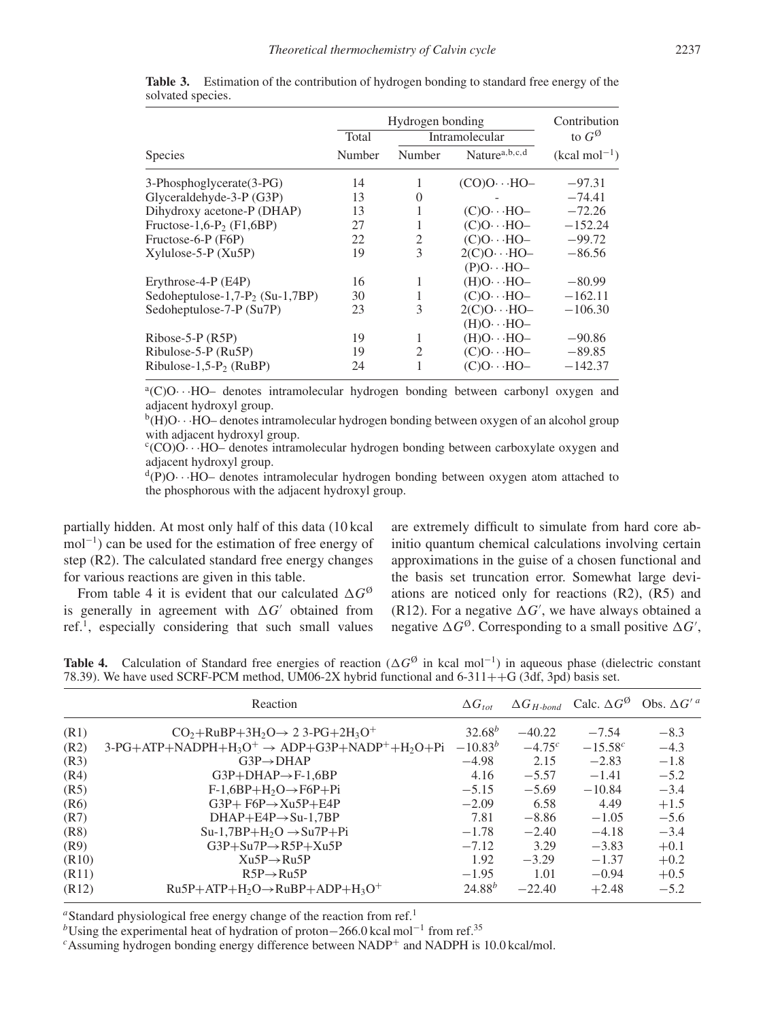|                                     |        | Hydrogen bonding |                                                               |                |  |
|-------------------------------------|--------|------------------|---------------------------------------------------------------|----------------|--|
|                                     | Total  | Intramolecular   | to $G^{\emptyset}$                                            |                |  |
| <b>Species</b>                      | Number | Number           | Nature <sup>a,b,c,d</sup>                                     | $(kcal mol-1)$ |  |
| 3-Phosphoglycerate (3-PG)           | 14     |                  | $(CO)O \cdot \cdot \cdot HO-$                                 | $-97.31$       |  |
| Glyceraldehyde-3-P (G3P)            | 13     | $\Omega$         |                                                               | $-74.41$       |  |
| Dihydroxy acetone-P (DHAP)          | 13     | 1                | $(C)O \cdot \cdot HO-$                                        | $-72.26$       |  |
| Fructose-1,6- $P_2$ (F1,6BP)        | 27     | 1                | $(C)O \cdot \cdot \cdot HO-$                                  | $-152.24$      |  |
| Fructose-6-P (F6P)                  | 22     | 2                | $(C)O \cdot \cdot \cdot HO-$                                  | $-99.72$       |  |
| $X$ ylulose-5-P $(Xu5P)$            | 19     | 3                | $2(C)O \cdot \cdot \cdot HO-$<br>$(P)O \cdot \cdot \cdot HO-$ | $-86.56$       |  |
| Erythrose-4-P (E4P)                 | 16     | 1                | $-HO(-H)$                                                     | $-80.99$       |  |
| Sedoheptulose-1,7- $P_2$ (Su-1,7BP) | 30     | 1                | $(C)O \cdot \cdot \cdot HO-$                                  | $-162.11$      |  |
| Sedoheptulose-7-P (Su7P)            | 23     | 3                | $2(C)O \cdot \cdot \cdot HO-$<br>$-HO \cdots HO$              | $-106.30$      |  |
| $Ribose-5-P (R5P)$                  | 19     | 1                | $-HO \cdot \cdot \cdot HO$                                    | $-90.86$       |  |
| Ribulose-5-P (Ru5P)                 | 19     | 2                | $(C)O \cdot \cdot \cdot HO-$                                  | $-89.85$       |  |
| Ribulose-1,5- $P_2$ (RuBP)          | 24     |                  | $(C)O \cdot \cdot \cdot HO-$                                  | $-142.37$      |  |

**Table 3.** Estimation of the contribution of hydrogen bonding to standard free energy of the solvated species.

a(C)O···HO- denotes intramolecular hydrogen bonding between carbonyl oxygen and adjacent hydroxyl group.

 $b(H)$ O···HO– denotes intramolecular hydrogen bonding between oxygen of an alcohol group with adjacent hydroxyl group.

<sup>c</sup>(CO)O···HO– denotes intramolecular hydrogen bonding between carboxylate oxygen and adjacent hydroxyl group.

 $d(P)O \cdot \cdot HO-$  denotes intramolecular hydrogen bonding between oxygen atom attached to the phosphorous with the adjacent hydroxyl group.

partially hidden. At most only half of this data (10 kcal mol<sup>-1</sup>) can be used for the estimation of free energy of step (R2). The calculated standard free energy changes for various reactions are given in this table.

From table 4 it is evident that our calculated  $\Delta G^{\emptyset}$ is generally in agreement with  $\Delta G'$  obtained from ref.1, especially considering that such small values are extremely difficult to simulate from hard core abinitio quantum chemical calculations involving certain approximations in the guise of a chosen functional and the basis set truncation error. Somewhat large deviations are noticed only for reactions (R2), (R5) and (R12). For a negative  $\Delta G'$ , we have always obtained a negative  $\Delta G^{\emptyset}$ . Corresponding to a small positive  $\Delta G'$ ,

**Table 4.** Calculation of Standard free energies of reaction ( $\Delta G^{\emptyset}$  in kcal mol<sup>-1</sup>) in aqueous phase (dielectric constant 78.39). We have used SCRF-PCM method, UM06-2X hybrid functional and 6-311++G (3df, 3pd) basis set.

|       | Reaction                                                    | $\Delta G_{tot}$ |             | $\Delta G_{H\text{-bond}}$ Calc. $\Delta G^{\circ}$ | Obs. $\Delta G^{\prime a}$ |
|-------|-------------------------------------------------------------|------------------|-------------|-----------------------------------------------------|----------------------------|
| (R1)  | $CO2+RuBP+3H2O \rightarrow 23-PG+2H3O+$                     | $32.68^{b}$      | $-40.22$    | $-7.54$                                             | $-8.3$                     |
| (R2)  | $3-PG+ATP+NADPH+H_3O^+ \rightarrow ADP+G3P+NADP^+ +H_2O+Pi$ | $-10.83^{b}$     | $-4.75^{c}$ | $-15.58^{c}$                                        | $-4.3$                     |
| (R3)  | $G3P \rightarrow DHAP$                                      | $-4.98$          | 2.15        | $-2.83$                                             | $-1.8$                     |
| (R4)  | $G3P+DHAP \rightarrow F-1,6BP$                              | 4.16             | $-5.57$     | $-1.41$                                             | $-5.2$                     |
| (R5)  | $F-1,6BP+H2O \rightarrow F6P+Pi$                            | $-5.15$          | $-5.69$     | $-10.84$                                            | $-3.4$                     |
| (R6)  | $G3P + F6P \rightarrow Xu5P + E4P$                          | $-2.09$          | 6.58        | 4.49                                                | $+1.5$                     |
| (R7)  | $DHAP + E4P \rightarrow Su-1,7BP$                           | 7.81             | $-8.86$     | $-1.05$                                             | $-5.6$                     |
| (R8)  | $Su-1,7BP+H_2O \rightarrow Su7P+Pi$                         | $-1.78$          | $-2.40$     | $-4.18$                                             | $-3.4$                     |
| (R9)  | $G3P+Su7P \rightarrow R5P+Xu5P$                             | $-7.12$          | 3.29        | $-3.83$                                             | $+0.1$                     |
| (R10) | $Xu5P \rightarrow Ru5P$                                     | 1.92             | $-3.29$     | $-1.37$                                             | $+0.2$                     |
| (R11) | $R5P \rightarrow Ru5P$                                      | $-1.95$          | 1.01        | $-0.94$                                             | $+0.5$                     |
| (R12) | $Ru5P+ATP+H_2O \rightarrow RuBP+ADP+H_3O^+$                 | $24.88^{b}$      | $-22.40$    | $+2.48$                                             | $-5.2$                     |

<sup>*a*</sup>Standard physiological free energy change of the reaction from ref.<sup>1</sup>

*b*Using the experimental heat of hydration of proton−266.0 kcal mol<sup>-1</sup> from ref.<sup>35</sup>

 $c$ Assuming hydrogen bonding energy difference between NADP<sup>+</sup> and NADPH is 10.0 kcal/mol.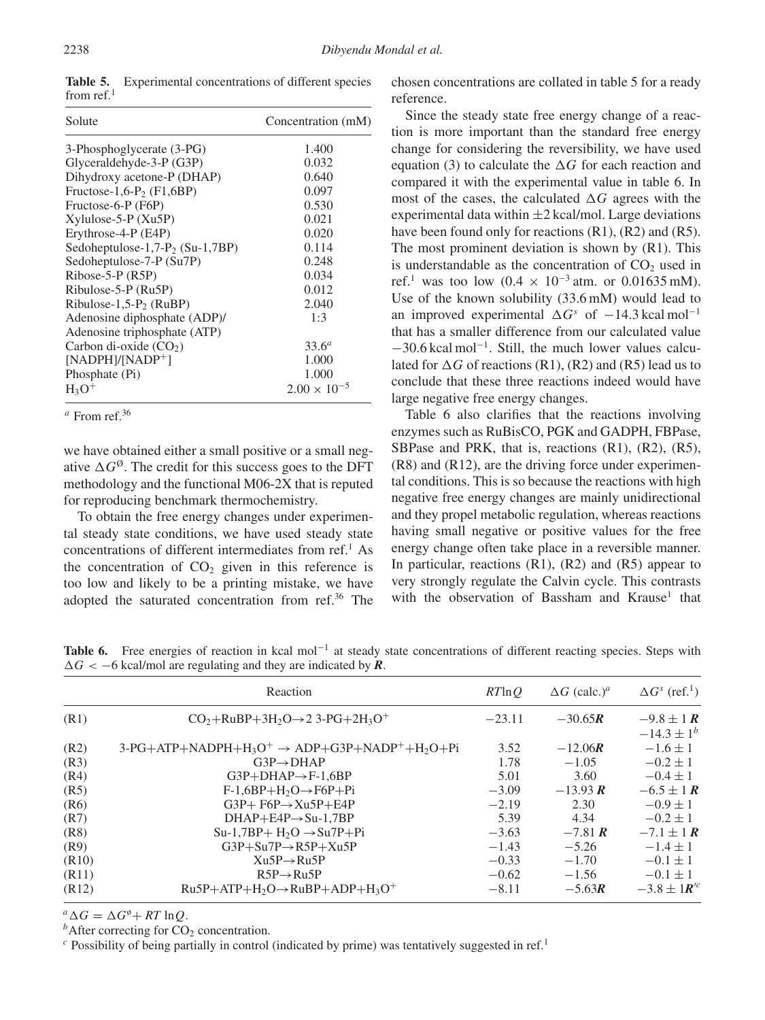**Table 5.** Experimental concentrations of different species from ref. $1$ 

| Solute                               | Concentration (mM)    |  |  |
|--------------------------------------|-----------------------|--|--|
| 3-Phosphoglycerate (3-PG)            | 1.400                 |  |  |
| Glyceraldehyde-3-P (G3P)             | 0.032                 |  |  |
| Dihydroxy acetone-P (DHAP)           | 0.640                 |  |  |
| Fructose-1,6-P <sub>2</sub> (F1,6BP) | 0.097                 |  |  |
| Fructose-6-P (F6P)                   | 0.530                 |  |  |
| $Xylulose-5-P (Xu5P)$                | 0.021                 |  |  |
| Erythrose-4-P (E4P)                  | 0.020                 |  |  |
| Sedoheptulose-1,7- $P_2$ (Su-1,7BP)  | 0.114                 |  |  |
| Sedoheptulose-7-P (Su7P)             | 0.248                 |  |  |
| $Ribose-5-P (R5P)$                   | 0.034                 |  |  |
| Ribulose-5-P (Ru5P)                  | 0.012                 |  |  |
| Ribulose-1,5- $P_2$ (RuBP)           | 2.040                 |  |  |
| Adenosine diphosphate (ADP)/         | 1:3                   |  |  |
| Adenosine triphosphate (ATP)         |                       |  |  |
| Carbon di-oxide $(CO2)$              | 33.6 <sup>a</sup>     |  |  |
| $[NADPH]/[NADP^+]$                   | 1.000                 |  |  |
| Phosphate (Pi)                       | 1.000                 |  |  |
| $H_3O^+$                             | $2.00 \times 10^{-5}$ |  |  |

*<sup>a</sup>* From ref.36

we have obtained either a small positive or a small negative  $\Delta G^{\emptyset}$ . The credit for this success goes to the DFT methodology and the functional M06-2X that is reputed for reproducing benchmark thermochemistry.

To obtain the free energy changes under experimental steady state conditions, we have used steady state concentrations of different intermediates from ref.<sup>1</sup> As the concentration of  $CO<sub>2</sub>$  given in this reference is too low and likely to be a printing mistake, we have adopted the saturated concentration from ref.36 The chosen concentrations are collated in table 5 for a ready reference.

Since the steady state free energy change of a reaction is more important than the standard free energy change for considering the reversibility, we have used equation (3) to calculate the  $\Delta G$  for each reaction and compared it with the experimental value in table 6. In most of the cases, the calculated  $\Delta G$  agrees with the experimental data within  $\pm 2$  kcal/mol. Large deviations have been found only for reactions (R1), (R2) and (R5). The most prominent deviation is shown by (R1). This is understandable as the concentration of  $CO<sub>2</sub>$  used in ref.<sup>1</sup> was too low  $(0.4 \times 10^{-3} \text{ atm. or } 0.01635 \text{ mM}).$ Use of the known solubility (33.6 mM) would lead to an improved experimental  $\Delta G^s$  of −14.3 kcal mol<sup>-1</sup> that has a smaller difference from our calculated value −30.6 kcal mol−1. Still, the much lower values calculated for  $\Delta G$  of reactions (R1), (R2) and (R5) lead us to conclude that these three reactions indeed would have large negative free energy changes.

Table 6 also clarifies that the reactions involving enzymes such as RuBisCO, PGK and GADPH, FBPase, SBPase and PRK, that is, reactions (R1), (R2), (R5), (R8) and (R12), are the driving force under experimental conditions. This is so because the reactions with high negative free energy changes are mainly unidirectional and they propel metabolic regulation, whereas reactions having small negative or positive values for the free energy change often take place in a reversible manner. In particular, reactions  $(R1)$ ,  $(R2)$  and  $(R5)$  appear to very strongly regulate the Calvin cycle. This contrasts with the observation of Bassham and Krause<sup>1</sup> that

Table 6. Free energies of reaction in kcal mol<sup>-1</sup> at steady state concentrations of different reacting species. Steps with *-G <* −6 kcal/mol are regulating and they are indicated by *R*.

|       | Reaction                                                         | $RT$ ln $O$ | $\Delta G$ (calc.) <sup>a</sup> | $\Delta G^s$ (ref. <sup>1</sup> ) |
|-------|------------------------------------------------------------------|-------------|---------------------------------|-----------------------------------|
| (R1)  | $CO2+RuBP+3H2O\rightarrow 2$ 3-PG+2H <sub>3</sub> O <sup>+</sup> | $-23.11$    | $-30.65R$                       | $-9.8 \pm 1 R$                    |
|       |                                                                  |             |                                 | $-14.3 \pm 1^{b}$                 |
| (R2)  | $3-PG+ATP+NADPH+H_3O^+ \rightarrow ADP+G3P+NADP^+ +H_2O+Pi$      | 3.52        | $-12.06R$                       | $-1.6 \pm 1$                      |
| (R3)  | $G3P \rightarrow DHAP$                                           | 1.78        | $-1.05$                         | $-0.2 \pm 1$                      |
| (R4)  | $G3P+DHAP \rightarrow F-1.6BP$                                   | 5.01        | 3.60                            | $-0.4 \pm 1$                      |
| (R5)  | $F-1,6BP+H_2O \rightarrow F6P+Pi$                                | $-3.09$     | $-13.93 R$                      | $-6.5 \pm 1 R$                    |
| (R6)  | $G3P + F6P \rightarrow Xu5P + E4P$                               | $-2.19$     | 2.30                            | $-0.9 \pm 1$                      |
| (R7)  | $DHAP + E4P \rightarrow Su-1,7BP$                                | 5.39        | 4.34                            | $-0.2 \pm 1$                      |
| (R8)  | $Su-1,7BP+H_2O \rightarrow Su7P+Pi$                              | $-3.63$     | $-7.81 R$                       | $-7.1 \pm 1 R$                    |
| (R9)  | $G3P+Su7P \rightarrow R5P+Xu5P$                                  | $-1.43$     | $-5.26$                         | $-1.4 \pm 1$                      |
| (R10) | $Xu5P \rightarrow Ru5P$                                          | $-0.33$     | $-1.70$                         | $-0.1 \pm 1$                      |
| (R11) | $R5P \rightarrow Ru5P$                                           | $-0.62$     | $-1.56$                         | $-0.1 \pm 1$                      |
| (R12) | $Ru5P+ATP+H_2O \rightarrow RuBP+ADP+H_3O^+$                      | $-8.11$     | $-5.63R$                        | $-3.8 \pm 1$ $R^{\prime\prime}$   |

 $^{a}_{\iota} \Delta G = \Delta$ 

<sup>*b*</sup> After correcting for CO<sub>2</sub> concentration. *c* Possibility of being partially in control (indicated by prime) was tentatively suggested in ref.<sup>1</sup>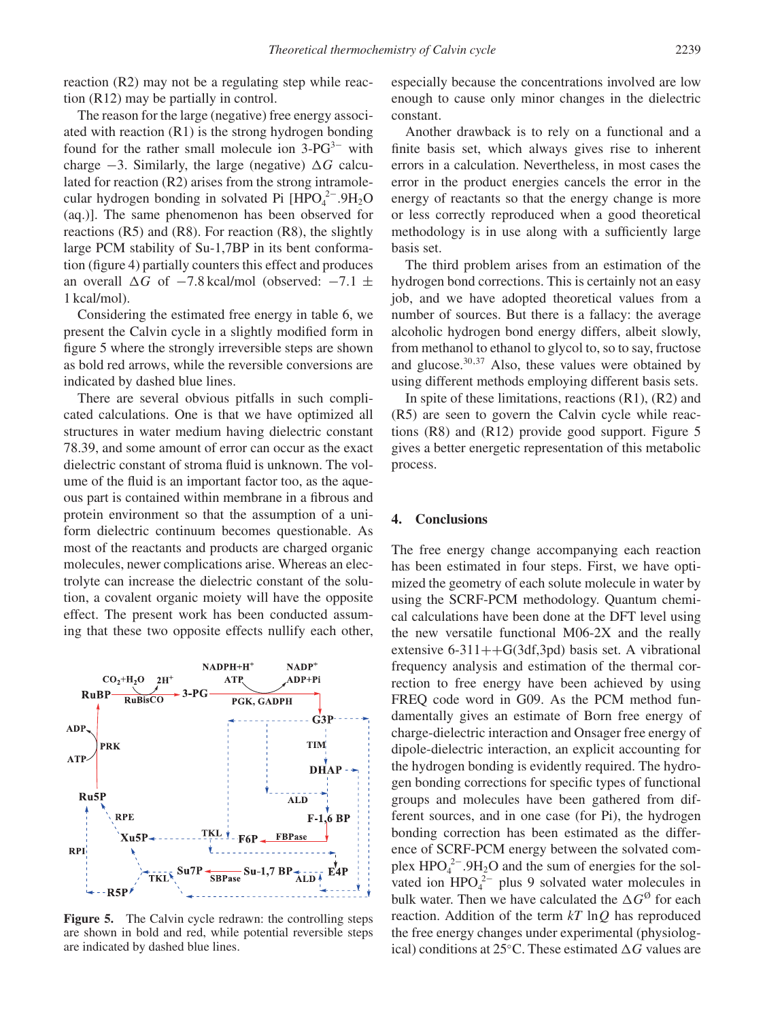reaction (R2) may not be a regulating step while reaction (R12) may be partially in control.

The reason for the large (negative) free energy associated with reaction (R1) is the strong hydrogen bonding found for the rather small molecule ion  $3-PG<sup>3−</sup>$  with charge  $-3$ . Similarly, the large (negative)  $\Delta G$  calculated for reaction (R2) arises from the strong intramolecular hydrogen bonding in solvated Pi  $[HPO<sub>4</sub><sup>2−</sup>.9H<sub>2</sub>O$ (aq.)]. The same phenomenon has been observed for reactions (R5) and (R8). For reaction (R8), the slightly large PCM stability of Su-1,7BP in its bent conformation (figure 4) partially counters this effect and produces an overall  $\Delta G$  of  $-7.8$  kcal/mol (observed:  $-7.1 \pm 1$ 1 kcal/mol).

Considering the estimated free energy in table 6, we present the Calvin cycle in a slightly modified form in figure 5 where the strongly irreversible steps are shown as bold red arrows, while the reversible conversions are indicated by dashed blue lines.

There are several obvious pitfalls in such complicated calculations. One is that we have optimized all structures in water medium having dielectric constant 78.39, and some amount of error can occur as the exact dielectric constant of stroma fluid is unknown. The volume of the fluid is an important factor too, as the aqueous part is contained within membrane in a fibrous and protein environment so that the assumption of a uniform dielectric continuum becomes questionable. As most of the reactants and products are charged organic molecules, newer complications arise. Whereas an electrolyte can increase the dielectric constant of the solution, a covalent organic moiety will have the opposite effect. The present work has been conducted assuming that these two opposite effects nullify each other,



**Figure 5.** The Calvin cycle redrawn: the controlling steps are shown in bold and red, while potential reversible steps are indicated by dashed blue lines.

especially because the concentrations involved are low enough to cause only minor changes in the dielectric constant.

Another drawback is to rely on a functional and a finite basis set, which always gives rise to inherent errors in a calculation. Nevertheless, in most cases the error in the product energies cancels the error in the energy of reactants so that the energy change is more or less correctly reproduced when a good theoretical methodology is in use along with a sufficiently large basis set.

The third problem arises from an estimation of the hydrogen bond corrections. This is certainly not an easy job, and we have adopted theoretical values from a number of sources. But there is a fallacy: the average alcoholic hydrogen bond energy differs, albeit slowly, from methanol to ethanol to glycol to, so to say, fructose and glucose. $30,37$  Also, these values were obtained by using different methods employing different basis sets.

In spite of these limitations, reactions  $(R1)$ ,  $(R2)$  and (R5) are seen to govern the Calvin cycle while reactions (R8) and (R12) provide good support. Figure 5 gives a better energetic representation of this metabolic process.

#### **4. Conclusions**

The free energy change accompanying each reaction has been estimated in four steps. First, we have optimized the geometry of each solute molecule in water by using the SCRF-PCM methodology. Quantum chemical calculations have been done at the DFT level using the new versatile functional M06-2X and the really extensive  $6-311++G(3df,3pd)$  basis set. A vibrational frequency analysis and estimation of the thermal correction to free energy have been achieved by using FREQ code word in G09. As the PCM method fundamentally gives an estimate of Born free energy of charge-dielectric interaction and Onsager free energy of dipole-dielectric interaction, an explicit accounting for the hydrogen bonding is evidently required. The hydrogen bonding corrections for specific types of functional groups and molecules have been gathered from different sources, and in one case (for Pi), the hydrogen bonding correction has been estimated as the difference of SCRF-PCM energy between the solvated complex  $HPO_4^{2-}.9H_2O$  and the sum of energies for the solvated ion  $HPO<sub>4</sub><sup>2−</sup>$  plus 9 solvated water molecules in bulk water. Then we have calculated the  $\Delta G^{\emptyset}$  for each reaction. Addition of the term *kT* ln*Q* has reproduced the free energy changes under experimental (physiological) conditions at 25 $\degree$ C. These estimated  $\triangle G$  values are